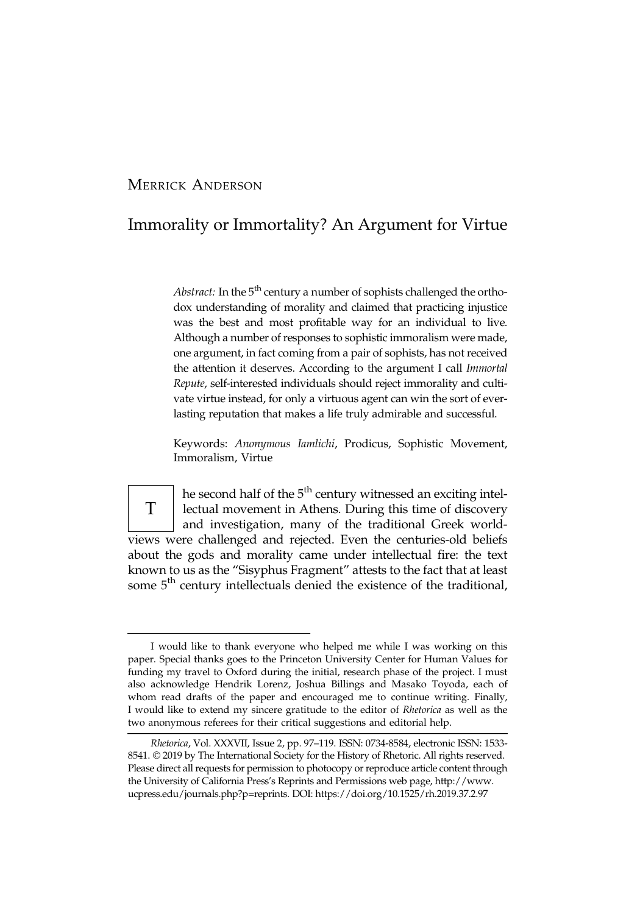## MERRICK ANDERSON

## Immorality or Immortality? An Argument for Virtue

Abstract: In the  $5<sup>th</sup>$  century a number of sophists challenged the orthodox understanding of morality and claimed that practicing injustice was the best and most profitable way for an individual to live. Although a number of responses to sophistic immoralism were made, one argument, in fact coming from a pair of sophists, has not received the attention it deserves. According to the argument I call Immortal Repute, self-interested individuals should reject immorality and cultivate virtue instead, for only a virtuous agent can win the sort of everlasting reputation that makes a life truly admirable and successful.

Keywords: Anonymous Iamlichi, Prodicus, Sophistic Movement, Immoralism, Virtue

T he second half of the 5<sup>th</sup> century witnessed an exciting intellectual movement in Athens. During this time of discovery and investigation, many of the traditional Greek worldviews were challenged and rejected. Even the centuries-old beliefs about the gods and morality came under intellectual fire: the text known to us as the "Sisyphus Fragment" attests to the fact that at least some 5<sup>th</sup> century intellectuals denied the existence of the traditional,

I would like to thank everyone who helped me while I was working on this paper. Special thanks goes to the Princeton University Center for Human Values for funding my travel to Oxford during the initial, research phase of the project. I must also acknowledge Hendrik Lorenz, Joshua Billings and Masako Toyoda, each of whom read drafts of the paper and encouraged me to continue writing. Finally, I would like to extend my sincere gratitude to the editor of Rhetorica as well as the two anonymous referees for their critical suggestions and editorial help.

Rhetorica, Vol. XXXVII, Issue 2, pp. 97–119. ISSN: 0734-8584, electronic ISSN: 1533- 8541. © 2019 by The International Society for the History of Rhetoric. All rights reserved. Please direct all requests for permission to photocopy or reproduce article content through the University of California Press's Reprints and Permissions web page, http://www. ucpress.edu/journals.php?p=reprints. DOI: https://doi.org/10.1525/rh.2019.37.2.97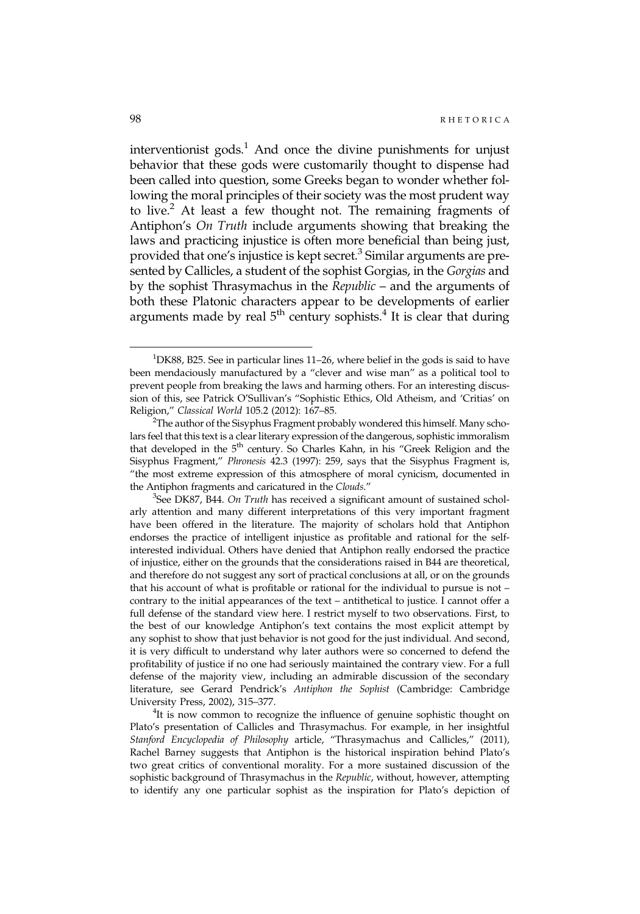interventionist gods.<sup>1</sup> And once the divine punishments for unjust behavior that these gods were customarily thought to dispense had been called into question, some Greeks began to wonder whether following the moral principles of their society was the most prudent way to live.<sup>2</sup> At least a few thought not. The remaining fragments of Antiphon's On Truth include arguments showing that breaking the laws and practicing injustice is often more beneficial than being just, provided that one's injustice is kept secret.<sup>3</sup> Similar arguments are presented by Callicles, a student of the sophist Gorgias, in the Gorgias and by the sophist Thrasymachus in the Republic – and the arguments of both these Platonic characters appear to be developments of earlier arguments made by real  $5<sup>th</sup>$  century sophists.<sup>4</sup> It is clear that during

<sup>&</sup>lt;sup>1</sup>DK88, B25. See in particular lines 11-26, where belief in the gods is said to have been mendaciously manufactured by a "clever and wise man" as a political tool to prevent people from breaking the laws and harming others. For an interesting discussion of this, see Patrick O'Sullivan's "Sophistic Ethics, Old Atheism, and 'Critias' on Religion," Classical World 105.2 (2012): 167–85. <sup>2</sup>

 $^{2}$ The author of the Sisyphus Fragment probably wondered this himself. Many scholars feel that this text is a clear literary expression of the dangerous, sophistic immoralism that developed in the 5<sup>th</sup> century. So Charles Kahn, in his "Greek Religion and the Sisyphus Fragment," Phronesis 42.3 (1997): 259, says that the Sisyphus Fragment is, "the most extreme expression of this atmosphere of moral cynicism, documented in the Antiphon fragments and caricatured in the Clouds."

<sup>&</sup>lt;sup>3</sup>See DK87, B44. On Truth has received a significant amount of sustained scholarly attention and many different interpretations of this very important fragment have been offered in the literature. The majority of scholars hold that Antiphon endorses the practice of intelligent injustice as profitable and rational for the selfinterested individual. Others have denied that Antiphon really endorsed the practice of injustice, either on the grounds that the considerations raised in B44 are theoretical, and therefore do not suggest any sort of practical conclusions at all, or on the grounds that his account of what is profitable or rational for the individual to pursue is not – contrary to the initial appearances of the text – antithetical to justice. I cannot offer a full defense of the standard view here. I restrict myself to two observations. First, to the best of our knowledge Antiphon's text contains the most explicit attempt by any sophist to show that just behavior is not good for the just individual. And second, it is very difficult to understand why later authors were so concerned to defend the profitability of justice if no one had seriously maintained the contrary view. For a full defense of the majority view, including an admirable discussion of the secondary literature, see Gerard Pendrick's Antiphon the Sophist (Cambridge: Cambridge University Press, 2002), 315–377. <sup>4</sup>

<sup>&</sup>lt;sup>4</sup>It is now common to recognize the influence of genuine sophistic thought on Plato's presentation of Callicles and Thrasymachus. For example, in her insightful Stanford Encyclopedia of Philosophy article, "Thrasymachus and Callicles," (2011), Rachel Barney suggests that Antiphon is the historical inspiration behind Plato's two great critics of conventional morality. For a more sustained discussion of the sophistic background of Thrasymachus in the Republic, without, however, attempting to identify any one particular sophist as the inspiration for Plato's depiction of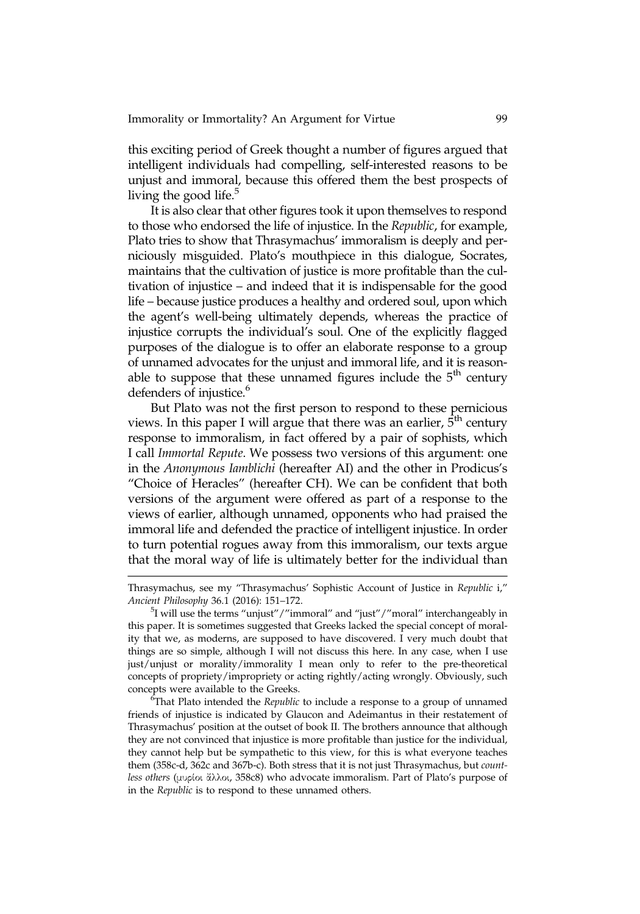this exciting period of Greek thought a number of figures argued that intelligent individuals had compelling, self-interested reasons to be unjust and immoral, because this offered them the best prospects of living the good life. $5$ 

It is also clear that other figures took it upon themselves to respond to those who endorsed the life of injustice. In the Republic, for example, Plato tries to show that Thrasymachus' immoralism is deeply and perniciously misguided. Plato's mouthpiece in this dialogue, Socrates, maintains that the cultivation of justice is more profitable than the cultivation of injustice – and indeed that it is indispensable for the good life – because justice produces a healthy and ordered soul, upon which the agent's well-being ultimately depends, whereas the practice of injustice corrupts the individual's soul. One of the explicitly flagged purposes of the dialogue is to offer an elaborate response to a group of unnamed advocates for the unjust and immoral life, and it is reasonable to suppose that these unnamed figures include the  $5<sup>th</sup>$  century defenders of injustice.<sup>6</sup>

But Plato was not the first person to respond to these pernicious views. In this paper I will argue that there was an earlier,  $\hat{5}^{th}$  century response to immoralism, in fact offered by a pair of sophists, which I call Immortal Repute. We possess two versions of this argument: one in the Anonymous Iamblichi (hereafter AI) and the other in Prodicus's "Choice of Heracles" (hereafter CH). We can be confident that both versions of the argument were offered as part of a response to the views of earlier, although unnamed, opponents who had praised the immoral life and defended the practice of intelligent injustice. In order to turn potential rogues away from this immoralism, our texts argue that the moral way of life is ultimately better for the individual than

 $\epsilon$ That Plato intended the Republic to include a response to a group of unnamed friends of injustice is indicated by Glaucon and Adeimantus in their restatement of Thrasymachus' position at the outset of book II. The brothers announce that although they are not convinced that injustice is more profitable than justice for the individual, they cannot help but be sympathetic to this view, for this is what everyone teaches them (358c-d, 362c and 367b-c). Both stress that it is not just Thrasymachus, but countless others (μυρίοι ἄλλοι, 358c8) who advocate immoralism. Part of Plato's purpose of in the Republic is to respond to these unnamed others.

Thrasymachus, see my "Thrasymachus' Sophistic Account of Justice in Republic i," Ancient Philosophy 36.1 (2016): 151-172.

 $5$ I will use the terms "unjust" / "immoral" and "just" / "moral" interchangeably in this paper. It is sometimes suggested that Greeks lacked the special concept of morality that we, as moderns, are supposed to have discovered. I very much doubt that things are so simple, although I will not discuss this here. In any case, when I use just/unjust or morality/immorality I mean only to refer to the pre-theoretical concepts of propriety/impropriety or acting rightly/acting wrongly. Obviously, such concepts were available to the Greeks.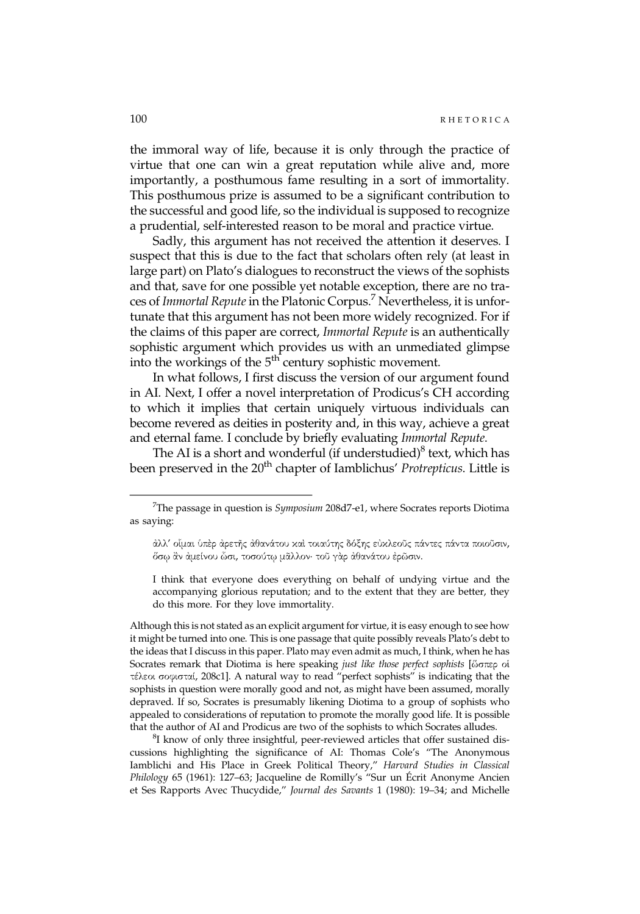the immoral way of life, because it is only through the practice of virtue that one can win a great reputation while alive and, more importantly, a posthumous fame resulting in a sort of immortality. This posthumous prize is assumed to be a significant contribution to the successful and good life, so the individual is supposed to recognize a prudential, self-interested reason to be moral and practice virtue.

Sadly, this argument has not received the attention it deserves. I suspect that this is due to the fact that scholars often rely (at least in large part) on Plato's dialogues to reconstruct the views of the sophists and that, save for one possible yet notable exception, there are no traces of Immortal Repute in the Platonic Corpus.<sup>7</sup> Nevertheless, it is unfortunate that this argument has not been more widely recognized. For if the claims of this paper are correct, Immortal Repute is an authentically sophistic argument which provides us with an unmediated glimpse into the workings of the  $5<sup>th</sup>$  century sophistic movement.

In what follows, I first discuss the version of our argument found in AI. Next, I offer a novel interpretation of Prodicus's CH according to which it implies that certain uniquely virtuous individuals can become revered as deities in posterity and, in this way, achieve a great and eternal fame. I conclude by briefly evaluating Immortal Repute.

The AI is a short and wonderful (if understudied) $8$  text, which has been preserved in the 20<sup>th</sup> chapter of Iamblichus' Protrepticus. Little is

I think that everyone does everything on behalf of undying virtue and the accompanying glorious reputation; and to the extent that they are better, they do this more. For they love immortality.

Although this is not stated as an explicit argument for virtue, it is easy enough to see how it might be turned into one. This is one passage that quite possibly reveals Plato's debt to the ideas that I discuss in this paper. Plato may even admit as much, I think, when he has Socrates remark that Diotima is here speaking just like those perfect sophists [ὥσπερ οἱ τέλεοι σοφισταί, 208c1]. A natural way to read "perfect sophists" is indicating that the sophists in question were morally good and not, as might have been assumed, morally depraved. If so, Socrates is presumably likening Diotima to a group of sophists who appealed to considerations of reputation to promote the morally good life. It is possible that the author of AI and Prodicus are two of the sophists to which Socrates alludes. <sup>8</sup>

<sup>8</sup>I know of only three insightful, peer-reviewed articles that offer sustained discussions highlighting the significance of AI: Thomas Cole's "The Anonymous Iamblichi and His Place in Greek Political Theory," Harvard Studies in Classical Philology 65 (1961): 127–63; Jacqueline de Romilly's "Sur un Écrit Anonyme Ancien et Ses Rapports Avec Thucydide," Journal des Savants 1 (1980): 19–34; and Michelle

<sup>&</sup>lt;sup>7</sup>The passage in question is  $Symposium$  208d7-e1, where Socrates reports Diotima as saying:

ἀλλ' οἶμαι ὑπὲρ ἀρετῆς ἀθανάτου καὶ τοιαύτης δόξης εὐκλεοῦς πάντες πάντα ποιοῦσιν, ὅσῳ ἂν ἀμείνου ὦσι, τοσούτῳ μᾶλλον· τοῦ γὰρ ἀθανάτου ἐρῶσιν.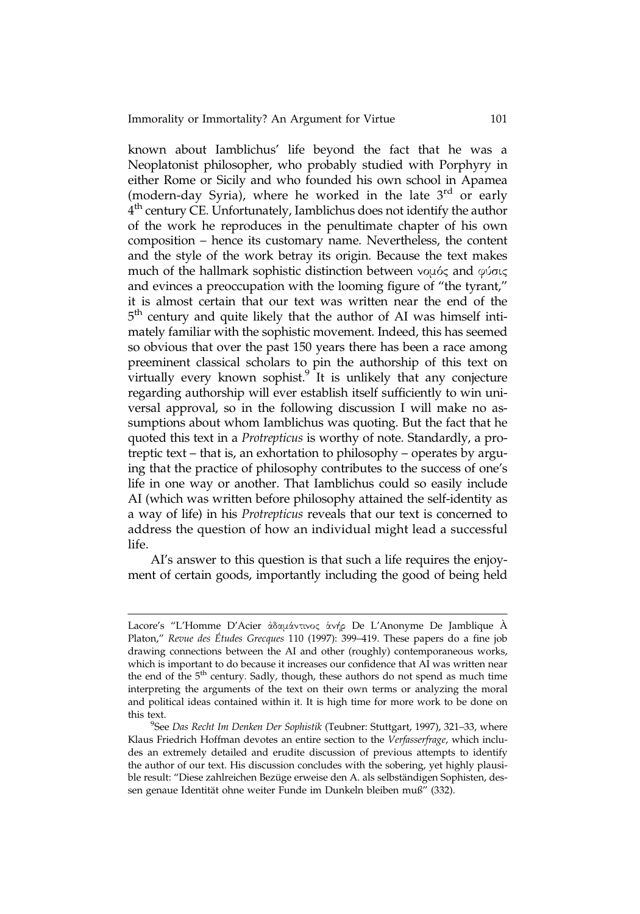known about Iamblichus' life beyond the fact that he was a Neoplatonist philosopher, who probably studied with Porphyry in either Rome or Sicily and who founded his own school in Apamea (modern-day Syria), where he worked in the late  $3<sup>rd</sup>$  or early  $4<sup>th</sup>$  century CE. Unfortunately, Iamblichus does not identify the author of the work he reproduces in the penultimate chapter of his own composition – hence its customary name. Nevertheless, the content and the style of the work betray its origin. Because the text makes much of the hallmark sophistic distinction between νομός and φύσις and evinces a preoccupation with the looming figure of "the tyrant," it is almost certain that our text was written near the end of the 5<sup>th</sup> century and quite likely that the author of AI was himself intimately familiar with the sophistic movement. Indeed, this has seemed so obvious that over the past 150 years there has been a race among preeminent classical scholars to pin the authorship of this text on virtually every known sophist. $9$  It is unlikely that any conjecture regarding authorship will ever establish itself sufficiently to win universal approval, so in the following discussion I will make no assumptions about whom Iamblichus was quoting. But the fact that he quoted this text in a Protrepticus is worthy of note. Standardly, a protreptic text – that is, an exhortation to philosophy – operates by arguing that the practice of philosophy contributes to the success of one's life in one way or another. That Iamblichus could so easily include AI (which was written before philosophy attained the self-identity as a way of life) in his Protrepticus reveals that our text is concerned to address the question of how an individual might lead a successful life.

AI's answer to this question is that such a life requires the enjoyment of certain goods, importantly including the good of being held

Lacore's "L'Homme D'Acier ἀδαμάντινος ἁνήρ De L'Anonyme De Jamblique À Platon," Revue des Études Grecques 110 (1997): 399–419. These papers do a fine job drawing connections between the AI and other (roughly) contemporaneous works, which is important to do because it increases our confidence that AI was written near the end of the  $5<sup>th</sup>$  century. Sadly, though, these authors do not spend as much time interpreting the arguments of the text on their own terms or analyzing the moral and political ideas contained within it. It is high time for more work to be done on this text.

<sup>&</sup>lt;sup>9</sup>See Das Recht Im Denken Der Sophistik (Teubner: Stuttgart, 1997), 321-33, where Klaus Friedrich Hoffman devotes an entire section to the Verfasserfrage, which includes an extremely detailed and erudite discussion of previous attempts to identify the author of our text. His discussion concludes with the sobering, yet highly plausible result: "Diese zahlreichen Bezüge erweise den A. als selbständigen Sophisten, dessen genaue Identität ohne weiter Funde im Dunkeln bleiben muß" (332).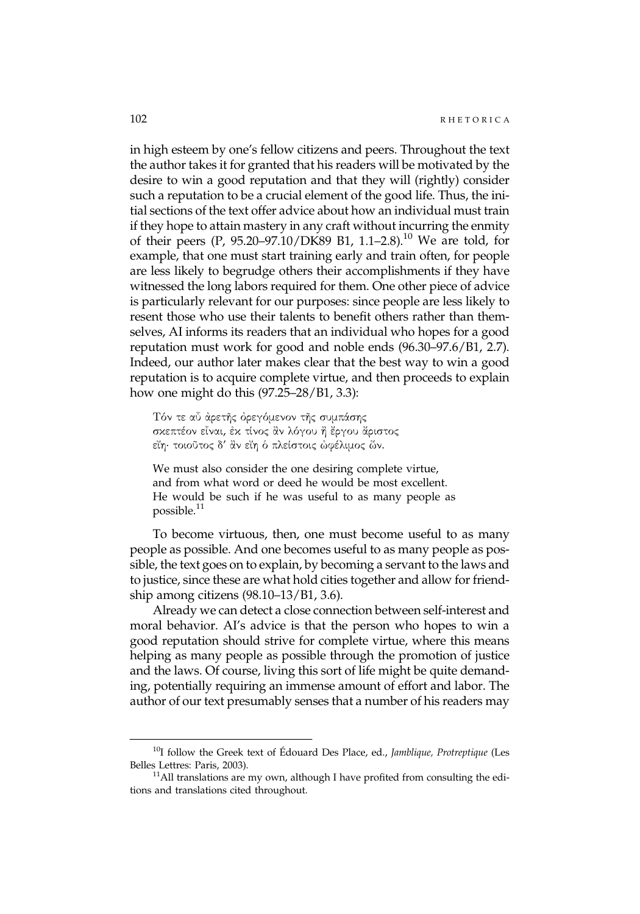in high esteem by one's fellow citizens and peers. Throughout the text the author takes it for granted that his readers will be motivated by the desire to win a good reputation and that they will (rightly) consider such a reputation to be a crucial element of the good life. Thus, the initial sections of the text offer advice about how an individual must train if they hope to attain mastery in any craft without incurring the enmity of their peers (P, 95.20–97.10/DK89 B1, 1.1–2.8).10 We are told, for example, that one must start training early and train often, for people are less likely to begrudge others their accomplishments if they have witnessed the long labors required for them. One other piece of advice is particularly relevant for our purposes: since people are less likely to resent those who use their talents to benefit others rather than themselves, AI informs its readers that an individual who hopes for a good reputation must work for good and noble ends (96.30–97.6/B1, 2.7). Indeed, our author later makes clear that the best way to win a good reputation is to acquire complete virtue, and then proceeds to explain how one might do this (97.25–28/B1, 3.3):

Τόν τε αὖ ἀρετῆς ὀρεγόμενον τῆς συμπάσης σκεπτέον εἶναι, ἐκ τίνος ἂν λόγου ἢ ἔργου ἄριστος εἴη· τοιοῦτος δ' ἂν εἴη ὁ πλείστοις ὠφέλιμος ὤν.

We must also consider the one desiring complete virtue, and from what word or deed he would be most excellent. He would be such if he was useful to as many people as possible. $^{11}$ 

To become virtuous, then, one must become useful to as many people as possible. And one becomes useful to as many people as possible, the text goes on to explain, by becoming a servant to the laws and to justice, since these are what hold cities together and allow for friendship among citizens (98.10–13/B1, 3.6).

Already we can detect a close connection between self-interest and moral behavior. AI's advice is that the person who hopes to win a good reputation should strive for complete virtue, where this means helping as many people as possible through the promotion of justice and the laws. Of course, living this sort of life might be quite demanding, potentially requiring an immense amount of effort and labor. The author of our text presumably senses that a number of his readers may

 $10I$  follow the Greek text of Édouard Des Place, ed., Jamblique, Protreptique (Les Belles Lettres: Paris, 2003).  $11\text{Al}$  translations are my own, although I have profited from consulting the edi-

tions and translations cited throughout.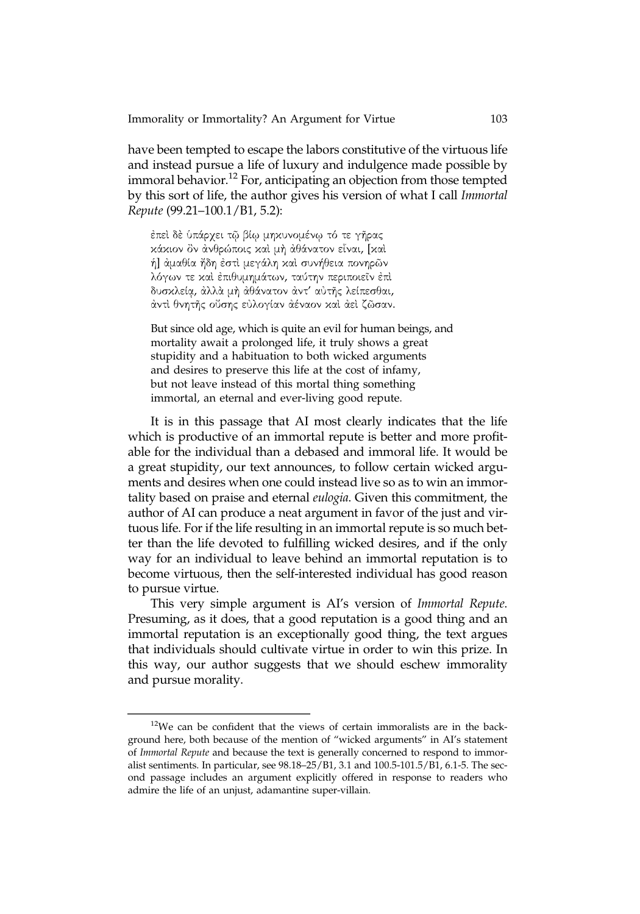have been tempted to escape the labors constitutive of the virtuous life and instead pursue a life of luxury and indulgence made possible by immoral behavior.<sup>12</sup> For, anticipating an objection from those tempted by this sort of life, the author gives his version of what I call Immortal Repute (99.21–100.1/B1, 5.2):

ἐπεὶ δὲ ὑπάρχει τῷ βίῳ μηκυνομένῳ τό τε γῆρας κάκιον ὂν ἀνθρώποις καὶ μὴ ἀθάνατον εἶναι, [καὶ ἡ] ἀμαθία ἤδη ἐστὶ μεγάλη καὶ συνήθεια πονηρῶν λόγων τε καὶ ἐπιθυμημάτων, ταύτην περιποιεῖν ἐπὶ δυσκλείᾳ, ἀλλὰ μὴ ἀθάνατον ἀντ' αὐτῆς λείπεσθαι, ἀντὶ θνητῆς οὔσης εὐλογίαν ἀέναον καὶ ἀεὶ ζῶσαν.

But since old age, which is quite an evil for human beings, and mortality await a prolonged life, it truly shows a great stupidity and a habituation to both wicked arguments and desires to preserve this life at the cost of infamy, but not leave instead of this mortal thing something immortal, an eternal and ever-living good repute.

It is in this passage that AI most clearly indicates that the life which is productive of an immortal repute is better and more profitable for the individual than a debased and immoral life. It would be a great stupidity, our text announces, to follow certain wicked arguments and desires when one could instead live so as to win an immortality based on praise and eternal eulogia. Given this commitment, the author of AI can produce a neat argument in favor of the just and virtuous life. For if the life resulting in an immortal repute is so much better than the life devoted to fulfilling wicked desires, and if the only way for an individual to leave behind an immortal reputation is to become virtuous, then the self-interested individual has good reason to pursue virtue.

This very simple argument is AI's version of Immortal Repute. Presuming, as it does, that a good reputation is a good thing and an immortal reputation is an exceptionally good thing, the text argues that individuals should cultivate virtue in order to win this prize. In this way, our author suggests that we should eschew immorality and pursue morality.

 $12$ We can be confident that the views of certain immoralists are in the background here, both because of the mention of "wicked arguments" in AI's statement of Immortal Repute and because the text is generally concerned to respond to immoralist sentiments. In particular, see 98.18–25/B1, 3.1 and 100.5-101.5/B1, 6.1-5. The second passage includes an argument explicitly offered in response to readers who admire the life of an unjust, adamantine super-villain.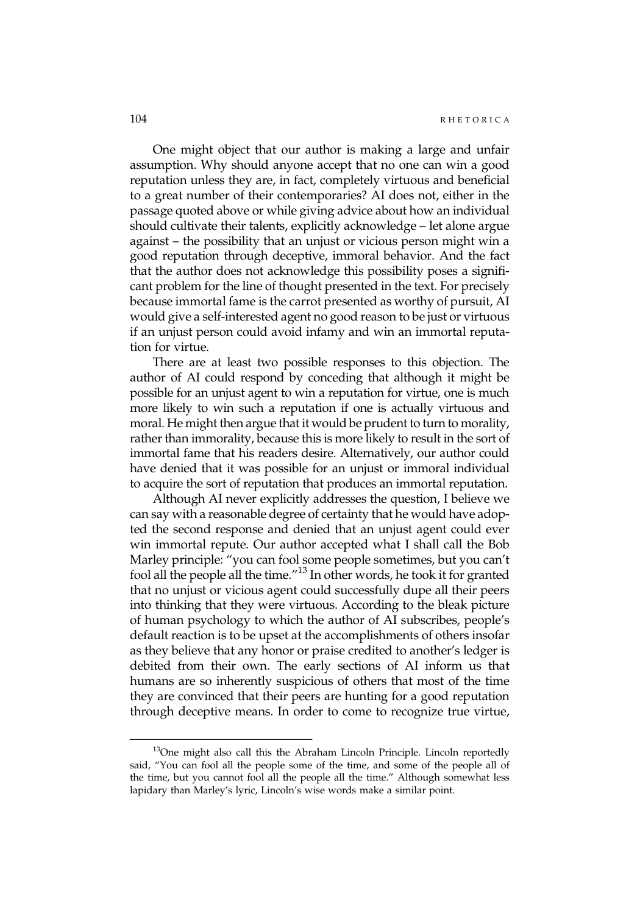One might object that our author is making a large and unfair assumption. Why should anyone accept that no one can win a good reputation unless they are, in fact, completely virtuous and beneficial to a great number of their contemporaries? AI does not, either in the passage quoted above or while giving advice about how an individual should cultivate their talents, explicitly acknowledge – let alone argue against – the possibility that an unjust or vicious person might win a good reputation through deceptive, immoral behavior. And the fact that the author does not acknowledge this possibility poses a significant problem for the line of thought presented in the text. For precisely because immortal fame is the carrot presented as worthy of pursuit, AI would give a self-interested agent no good reason to be just or virtuous if an unjust person could avoid infamy and win an immortal reputation for virtue.

There are at least two possible responses to this objection. The author of AI could respond by conceding that although it might be possible for an unjust agent to win a reputation for virtue, one is much more likely to win such a reputation if one is actually virtuous and moral. He might then argue that it would be prudent to turn to morality, rather than immorality, because this is more likely to result in the sort of immortal fame that his readers desire. Alternatively, our author could have denied that it was possible for an unjust or immoral individual to acquire the sort of reputation that produces an immortal reputation.

Although AI never explicitly addresses the question, I believe we can say with a reasonable degree of certainty that he would have adopted the second response and denied that an unjust agent could ever win immortal repute. Our author accepted what I shall call the Bob Marley principle: "you can fool some people sometimes, but you can't fool all the people all the time."<sup>13</sup> In other words, he took it for granted that no unjust or vicious agent could successfully dupe all their peers into thinking that they were virtuous. According to the bleak picture of human psychology to which the author of AI subscribes, people's default reaction is to be upset at the accomplishments of others insofar as they believe that any honor or praise credited to another's ledger is debited from their own. The early sections of AI inform us that humans are so inherently suspicious of others that most of the time they are convinced that their peers are hunting for a good reputation through deceptive means. In order to come to recognize true virtue,

<sup>&</sup>lt;sup>13</sup>One might also call this the Abraham Lincoln Principle. Lincoln reportedly said, "You can fool all the people some of the time, and some of the people all of the time, but you cannot fool all the people all the time." Although somewhat less lapidary than Marley's lyric, Lincoln's wise words make a similar point.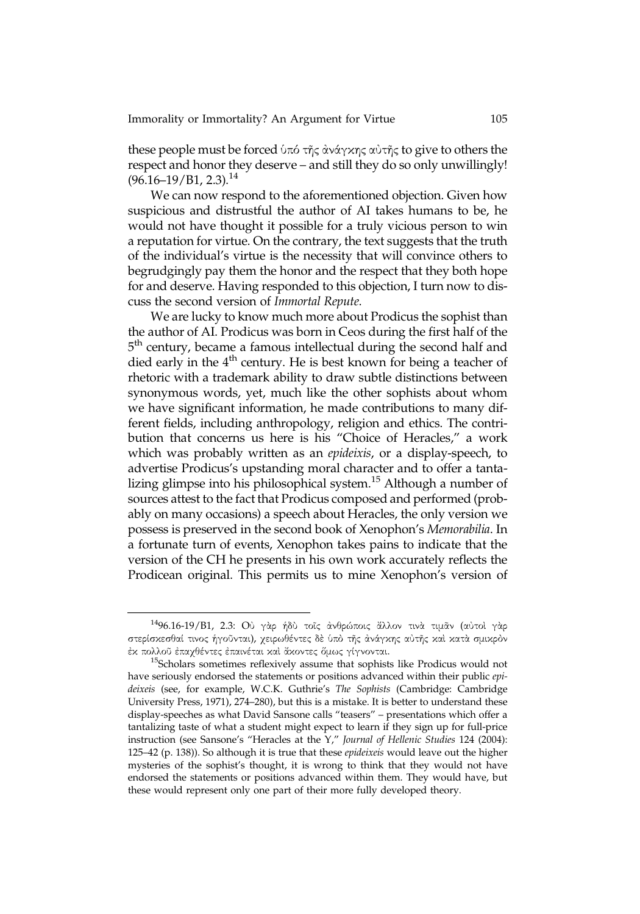these people must be forced ὑπό τῆς ἀνάγκης αὐτῆς to give to others the respect and honor they deserve – and still they do so only unwillingly!  $(96.16 - 19/B1, 2.3).$ <sup>14</sup>

We can now respond to the aforementioned objection. Given how suspicious and distrustful the author of AI takes humans to be, he would not have thought it possible for a truly vicious person to win a reputation for virtue. On the contrary, the text suggests that the truth of the individual's virtue is the necessity that will convince others to begrudgingly pay them the honor and the respect that they both hope for and deserve. Having responded to this objection, I turn now to discuss the second version of Immortal Repute.

We are lucky to know much more about Prodicus the sophist than the author of AI. Prodicus was born in Ceos during the first half of the 5<sup>th</sup> century, became a famous intellectual during the second half and died early in the  $4<sup>th</sup>$  century. He is best known for being a teacher of rhetoric with a trademark ability to draw subtle distinctions between synonymous words, yet, much like the other sophists about whom we have significant information, he made contributions to many different fields, including anthropology, religion and ethics. The contribution that concerns us here is his "Choice of Heracles," a work which was probably written as an epideixis, or a display-speech, to advertise Prodicus's upstanding moral character and to offer a tantalizing glimpse into his philosophical system.<sup>15</sup> Although a number of sources attest to the fact that Prodicus composed and performed (probably on many occasions) a speech about Heracles, the only version we possess is preserved in the second book of Xenophon's Memorabilia. In a fortunate turn of events, Xenophon takes pains to indicate that the version of the CH he presents in his own work accurately reflects the Prodicean original. This permits us to mine Xenophon's version of

<sup>1496.16-19/</sup>B1, 2.3: Oὐ γὰρ ἡδὺ τοῖς ἀνθρώποις ἄλλον τινὰ τιμᾶν (αὐτοὶ γὰρ στερίσκεσθαί τινος ἡγοῦνται), χειρωθέντες δὲ ὑπὸ τῆς ἀνάγκης αὐτῆς καὶ κατὰ σμικρὸν ἐκ πολλοῦ ἐπαχθέντες ἐπαινέται καὶ ἄκοντες ὅμως γίγνονται.<br><sup>15</sup>Scholars sometimes reflexively assume that sophists like Prodicus would not

have seriously endorsed the statements or positions advanced within their public epideixeis (see, for example, W.C.K. Guthrie's The Sophists (Cambridge: Cambridge University Press, 1971), 274–280), but this is a mistake. It is better to understand these display-speeches as what David Sansone calls "teasers" – presentations which offer a tantalizing taste of what a student might expect to learn if they sign up for full-price instruction (see Sansone's "Heracles at the Y," Journal of Hellenic Studies 124 (2004): 125–42 (p. 138)). So although it is true that these epideixeis would leave out the higher mysteries of the sophist's thought, it is wrong to think that they would not have endorsed the statements or positions advanced within them. They would have, but these would represent only one part of their more fully developed theory.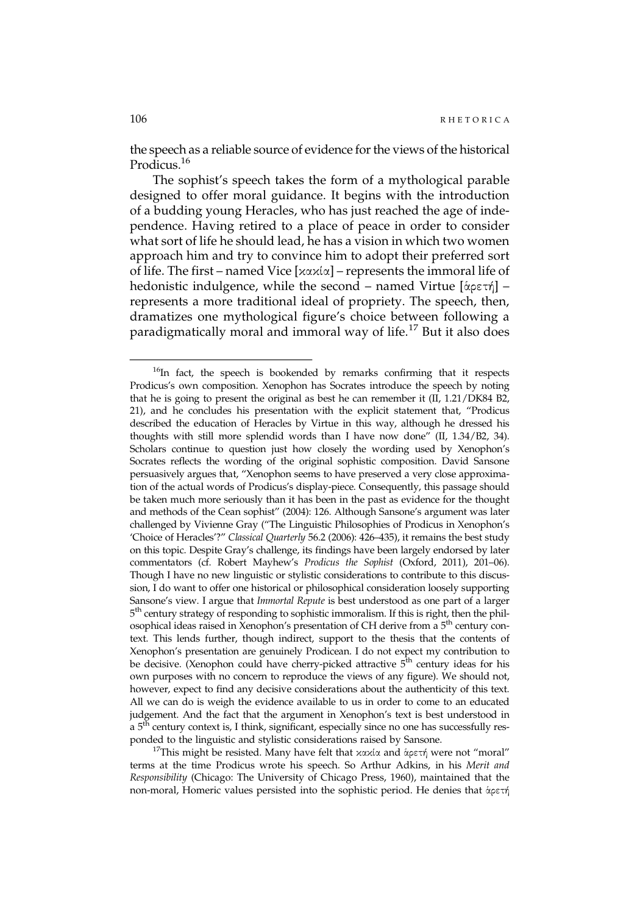the speech as a reliable source of evidence for the views of the historical Prodicus.<sup>16</sup>

The sophist's speech takes the form of a mythological parable designed to offer moral guidance. It begins with the introduction of a budding young Heracles, who has just reached the age of independence. Having retired to a place of peace in order to consider what sort of life he should lead, he has a vision in which two women approach him and try to convince him to adopt their preferred sort of life. The first – named Vice [κακία] – represents the immoral life of hedonistic indulgence, while the second – named Virtue [ἁρετή] – represents a more traditional ideal of propriety. The speech, then, dramatizes one mythological figure's choice between following a paradigmatically moral and immoral way of life.<sup>17</sup> But it also does

<sup>17</sup>This might be resisted. Many have felt that κακία and ἁρετή were not "moral" terms at the time Prodicus wrote his speech. So Arthur Adkins, in his Merit and Responsibility (Chicago: The University of Chicago Press, 1960), maintained that the non-moral, Homeric values persisted into the sophistic period. He denies that ἁρετή

 $16$ In fact, the speech is bookended by remarks confirming that it respects Prodicus's own composition. Xenophon has Socrates introduce the speech by noting that he is going to present the original as best he can remember it (II, 1.21/DK84 B2, 21), and he concludes his presentation with the explicit statement that, "Prodicus described the education of Heracles by Virtue in this way, although he dressed his thoughts with still more splendid words than I have now done" (II, 1.34/B2, 34). Scholars continue to question just how closely the wording used by Xenophon's Socrates reflects the wording of the original sophistic composition. David Sansone persuasively argues that, "Xenophon seems to have preserved a very close approximation of the actual words of Prodicus's display-piece. Consequently, this passage should be taken much more seriously than it has been in the past as evidence for the thought and methods of the Cean sophist" (2004): 126. Although Sansone's argument was later challenged by Vivienne Gray ("The Linguistic Philosophies of Prodicus in Xenophon's 'Choice of Heracles'?" Classical Quarterly 56.2 (2006): 426–435), it remains the best study on this topic. Despite Gray's challenge, its findings have been largely endorsed by later commentators (cf. Robert Mayhew's Prodicus the Sophist (Oxford, 2011), 201–06). Though I have no new linguistic or stylistic considerations to contribute to this discussion, I do want to offer one historical or philosophical consideration loosely supporting Sansone's view. I argue that Immortal Repute is best understood as one part of a larger 5<sup>th</sup> century strategy of responding to sophistic immoralism. If this is right, then the philosophical ideas raised in Xenophon's presentation of CH derive from a 5<sup>th</sup> century context. This lends further, though indirect, support to the thesis that the contents of Xenophon's presentation are genuinely Prodicean. I do not expect my contribution to be decisive. (Xenophon could have cherry-picked attractive  $5<sup>th</sup>$  century ideas for his own purposes with no concern to reproduce the views of any figure). We should not, however, expect to find any decisive considerations about the authenticity of this text. All we can do is weigh the evidence available to us in order to come to an educated judgement. And the fact that the argument in Xenophon's text is best understood in a 5<sup>th</sup> century context is, I think, significant, especially since no one has successfully res-<br>ponded to the linguistic and stylistic considerations raised by Sansone.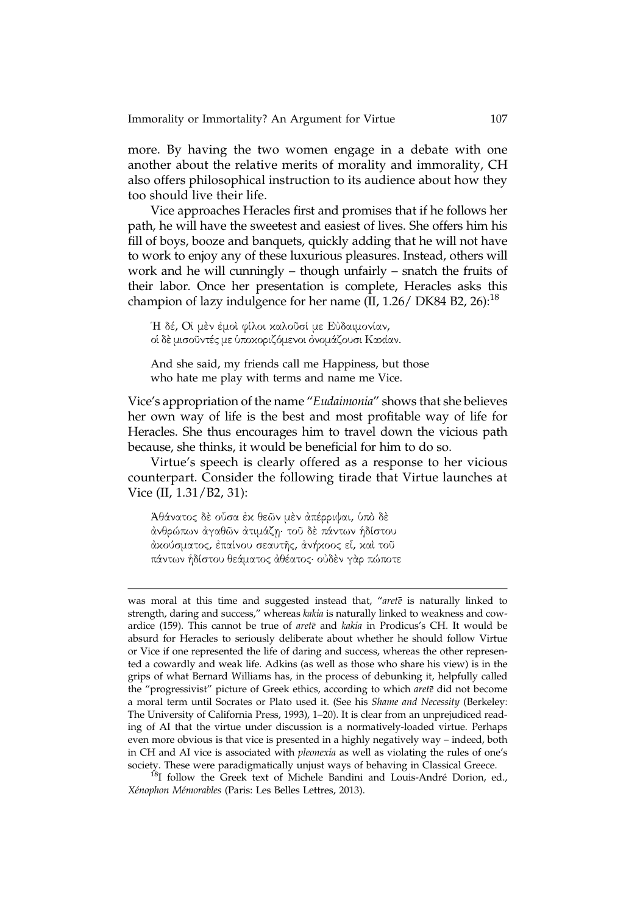more. By having the two women engage in a debate with one another about the relative merits of morality and immorality, CH also offers philosophical instruction to its audience about how they too should live their life.

Vice approaches Heracles first and promises that if he follows her path, he will have the sweetest and easiest of lives. She offers him his fill of boys, booze and banquets, quickly adding that he will not have to work to enjoy any of these luxurious pleasures. Instead, others will work and he will cunningly – though unfairly – snatch the fruits of their labor. Once her presentation is complete, Heracles asks this champion of lazy indulgence for her name  $(II, 1.26 / DK84 B2, 26)$ :<sup>18</sup>

Ἡ δέ, Oἱ μὲν ἐμοὶ φίλοι καλοῦσί με Εὐδαιμονίαν, οἱ δὲ μισοῦντές με ὑποκοριζόμενοι ὀνομάζουσι Κακίαν.

And she said, my friends call me Happiness, but those who hate me play with terms and name me Vice.

Vice's appropriation of the name "Eudaimonia" shows that she believes her own way of life is the best and most profitable way of life for Heracles. She thus encourages him to travel down the vicious path because, she thinks, it would be beneficial for him to do so.

Virtue's speech is clearly offered as a response to her vicious counterpart. Consider the following tirade that Virtue launches at Vice (II, 1.31/B2, 31):

Άθάνατος δὲ οὖσα ἐκ θεῶν μὲν ἀπέρριψαι, ὑπὸ δὲ ἀνθρώπων ἀγαθῶν ἀτιμάζῃ· τοῦ δὲ πάντων ἡδίστου ἀκούσματος, ἐπαίνου σεαυτῆς, ἀνήκοος εἶ, καὶ τοῦ πάντων ἡδίστου θεάματος ἀθέατος· οὐδὲν γὰρ πώποτε

was moral at this time and suggested instead that, "arete is naturally linked to strength, daring and success," whereas kakia is naturally linked to weakness and cowardice (159). This cannot be true of *aret* $\bar{e}$  and *kakia* in Prodicus's CH. It would be absurd for Heracles to seriously deliberate about whether he should follow Virtue or Vice if one represented the life of daring and success, whereas the other represented a cowardly and weak life. Adkins (as well as those who share his view) is in the grips of what Bernard Williams has, in the process of debunking it, helpfully called the "progressivist" picture of Greek ethics, according to which arete did not become a moral term until Socrates or Plato used it. (See his Shame and Necessity (Berkeley: The University of California Press, 1993), 1–20). It is clear from an unprejudiced reading of AI that the virtue under discussion is a normatively-loaded virtue. Perhaps even more obvious is that vice is presented in a highly negatively way – indeed, both in CH and AI vice is associated with pleonexia as well as violating the rules of one's society. These were paradigmatically unjust ways of behaving in Classical Greece.<br><sup>18</sup>I follow the Greek text of Michele Bandini and Louis-André Dorion, ed.,

Xénophon Mémorables (Paris: Les Belles Lettres, 2013).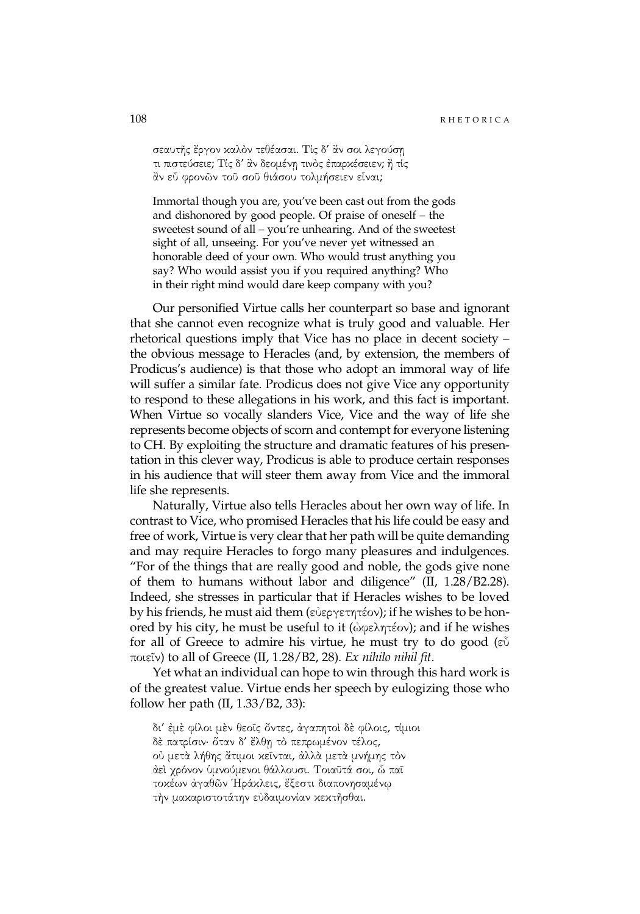σεαυτῆς ἔργον καλὸν τεθέασαι. Τίς δ' ἄν σοι λεγούσῃ τι πιστεύσειε; Τίς δ' ἂν δεομένῃ τινὸς ἐπαρκέσειεν; ἢ τίς ἂν εὖ φρονῶν τοῦ σοῦ θιάσου τολμήσειεν εἶναι;

Immortal though you are, you've been cast out from the gods and dishonored by good people. Of praise of oneself – the sweetest sound of all – you're unhearing. And of the sweetest sight of all, unseeing. For you've never yet witnessed an honorable deed of your own. Who would trust anything you say? Who would assist you if you required anything? Who in their right mind would dare keep company with you?

Our personified Virtue calls her counterpart so base and ignorant that she cannot even recognize what is truly good and valuable. Her rhetorical questions imply that Vice has no place in decent society – the obvious message to Heracles (and, by extension, the members of Prodicus's audience) is that those who adopt an immoral way of life will suffer a similar fate. Prodicus does not give Vice any opportunity to respond to these allegations in his work, and this fact is important. When Virtue so vocally slanders Vice, Vice and the way of life she represents become objects of scorn and contempt for everyone listening to CH. By exploiting the structure and dramatic features of his presentation in this clever way, Prodicus is able to produce certain responses in his audience that will steer them away from Vice and the immoral life she represents.

Naturally, Virtue also tells Heracles about her own way of life. In contrast to Vice, who promised Heracles that his life could be easy and free of work, Virtue is very clear that her path will be quite demanding and may require Heracles to forgo many pleasures and indulgences. "For of the things that are really good and noble, the gods give none of them to humans without labor and diligence" (II, 1.28/B2.28). Indeed, she stresses in particular that if Heracles wishes to be loved by his friends, he must aid them (εὐεργετητέον); if he wishes to be honored by his city, he must be useful to it ( $\omega$ φελητέον); and if he wishes for all of Greece to admire his virtue, he must try to do good (εὖ ποιεῖν) to all of Greece (II, 1.28/B2, 28). Ex nihilo nihil fit.

Yet what an individual can hope to win through this hard work is of the greatest value. Virtue ends her speech by eulogizing those who follow her path  $(II, 1.33/B2, 33)$ :

δι' ἐμὲ φίλοι μὲν θεοῖς ὄντες, ἀγαπητοὶ δὲ φίλοις, τίμιοι δὲ πατρίσιν· ὅταν δ' ἔλθῃ τὸ πεπρωμένον τέλος, οὐ μετὰ λήθης ἄτιμοι κεῖνται, ἀλλὰ μετὰ μνήμης τὸν ἀεὶ χρόνον ὑμνούμενοι θάλλουσι. Τοιαῦτά σοι, ὦ παῖ τοκέων ἀγαθῶν Ἡράκλεις, ἔξεστι διαπονησαμένῳ τὴν μακαριστοτάτην εὐδαιμονίαν κεκτῆσθαι.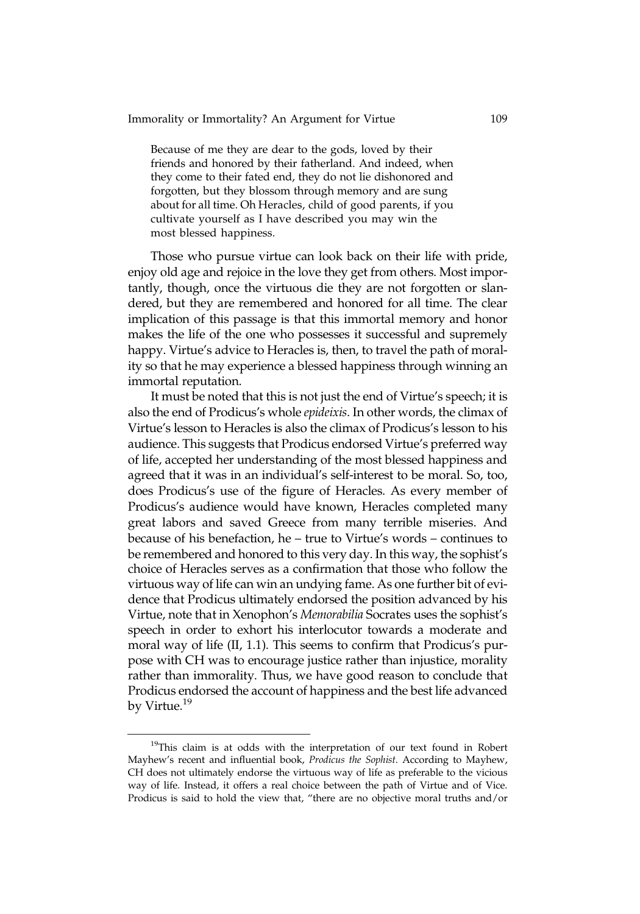Because of me they are dear to the gods, loved by their friends and honored by their fatherland. And indeed, when they come to their fated end, they do not lie dishonored and forgotten, but they blossom through memory and are sung about for all time. Oh Heracles, child of good parents, if you cultivate yourself as I have described you may win the most blessed happiness.

Those who pursue virtue can look back on their life with pride, enjoy old age and rejoice in the love they get from others. Most importantly, though, once the virtuous die they are not forgotten or slandered, but they are remembered and honored for all time. The clear implication of this passage is that this immortal memory and honor makes the life of the one who possesses it successful and supremely happy. Virtue's advice to Heracles is, then, to travel the path of morality so that he may experience a blessed happiness through winning an immortal reputation.

It must be noted that this is not just the end of Virtue's speech; it is also the end of Prodicus's whole epideixis. In other words, the climax of Virtue's lesson to Heracles is also the climax of Prodicus's lesson to his audience. This suggests that Prodicus endorsed Virtue's preferred way of life, accepted her understanding of the most blessed happiness and agreed that it was in an individual's self-interest to be moral. So, too, does Prodicus's use of the figure of Heracles. As every member of Prodicus's audience would have known, Heracles completed many great labors and saved Greece from many terrible miseries. And because of his benefaction, he – true to Virtue's words – continues to be remembered and honored to this very day. In this way, the sophist's choice of Heracles serves as a confirmation that those who follow the virtuous way of life can win an undying fame. As one further bit of evidence that Prodicus ultimately endorsed the position advanced by his Virtue, note that in Xenophon's Memorabilia Socrates uses the sophist's speech in order to exhort his interlocutor towards a moderate and moral way of life (II, 1.1). This seems to confirm that Prodicus's purpose with CH was to encourage justice rather than injustice, morality rather than immorality. Thus, we have good reason to conclude that Prodicus endorsed the account of happiness and the best life advanced by Virtue.<sup>19</sup>

<sup>&</sup>lt;sup>19</sup>This claim is at odds with the interpretation of our text found in Robert Mayhew's recent and influential book, Prodicus the Sophist. According to Mayhew, CH does not ultimately endorse the virtuous way of life as preferable to the vicious way of life. Instead, it offers a real choice between the path of Virtue and of Vice. Prodicus is said to hold the view that, "there are no objective moral truths and/or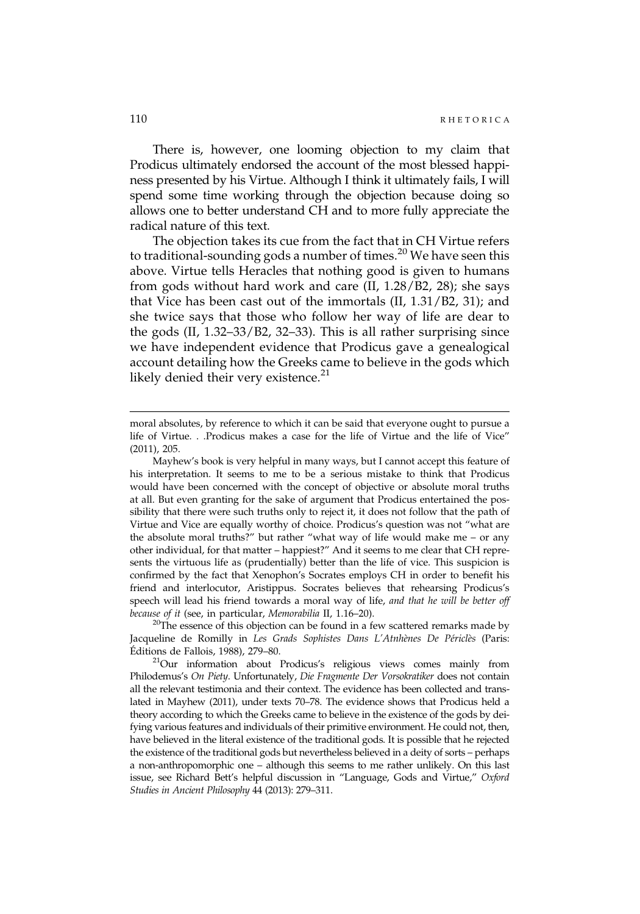There is, however, one looming objection to my claim that Prodicus ultimately endorsed the account of the most blessed happiness presented by his Virtue. Although I think it ultimately fails, I will spend some time working through the objection because doing so allows one to better understand CH and to more fully appreciate the radical nature of this text.

The objection takes its cue from the fact that in CH Virtue refers to traditional-sounding gods a number of times.<sup>20</sup> We have seen this above. Virtue tells Heracles that nothing good is given to humans from gods without hard work and care (II, 1.28/B2, 28); she says that Vice has been cast out of the immortals (II, 1.31/B2, 31); and she twice says that those who follow her way of life are dear to the gods (II, 1.32–33/B2, 32–33). This is all rather surprising since we have independent evidence that Prodicus gave a genealogical account detailing how the Greeks came to believe in the gods which likely denied their very existence. $^{21}$ 

Jacqueline de Romilly in Les Grads Sophistes Dans L'Atnhènes De Périclès (Paris:

Éditions de Fallois, 1988), 279–80.<br><sup>21</sup>Our information about Prodicus's religious views comes mainly from Philodemus's On Piety. Unfortunately, Die Fragmente Der Vorsokratiker does not contain all the relevant testimonia and their context. The evidence has been collected and translated in Mayhew (2011), under texts 70–78. The evidence shows that Prodicus held a theory according to which the Greeks came to believe in the existence of the gods by deifying various features and individuals of their primitive environment. He could not, then, have believed in the literal existence of the traditional gods. It is possible that he rejected the existence of the traditional gods but nevertheless believed in a deity of sorts – perhaps a non-anthropomorphic one – although this seems to me rather unlikely. On this last issue, see Richard Bett's helpful discussion in "Language, Gods and Virtue," Oxford Studies in Ancient Philosophy 44 (2013): 279–311.

moral absolutes, by reference to which it can be said that everyone ought to pursue a life of Virtue. . .Prodicus makes a case for the life of Virtue and the life of Vice" (2011), 205.

Mayhew's book is very helpful in many ways, but I cannot accept this feature of his interpretation. It seems to me to be a serious mistake to think that Prodicus would have been concerned with the concept of objective or absolute moral truths at all. But even granting for the sake of argument that Prodicus entertained the possibility that there were such truths only to reject it, it does not follow that the path of Virtue and Vice are equally worthy of choice. Prodicus's question was not "what are the absolute moral truths?" but rather "what way of life would make me – or any other individual, for that matter – happiest?" And it seems to me clear that CH represents the virtuous life as (prudentially) better than the life of vice. This suspicion is confirmed by the fact that Xenophon's Socrates employs CH in order to benefit his friend and interlocutor, Aristippus. Socrates believes that rehearsing Prodicus's speech will lead his friend towards a moral way of life, and that he will be better off because of it (see, in particular, *Memorabilia* II, 1.16–20).<br><sup>20</sup>The essence of this objection can be found in a few scattered remarks made by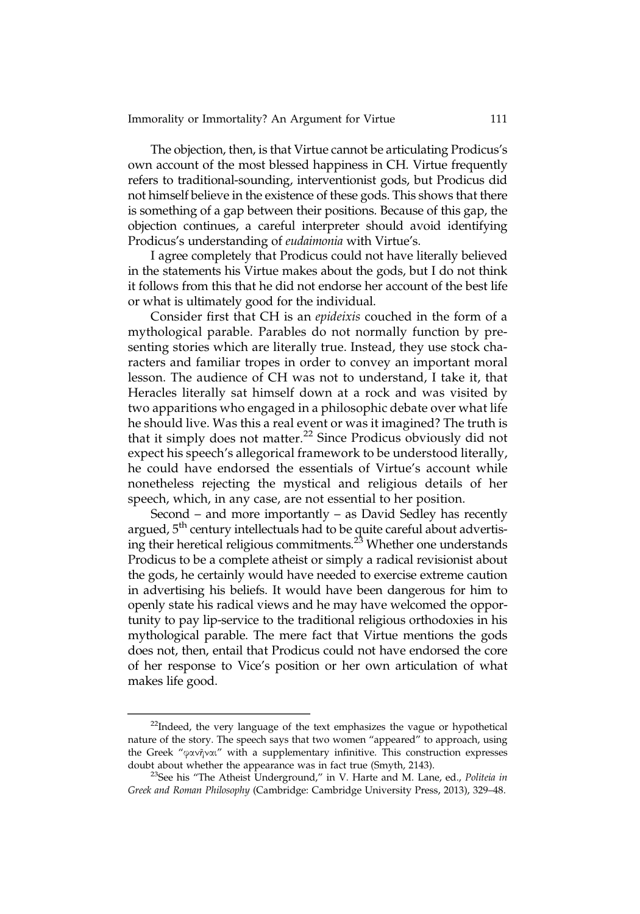The objection, then, is that Virtue cannot be articulating Prodicus's own account of the most blessed happiness in CH. Virtue frequently refers to traditional-sounding, interventionist gods, but Prodicus did not himself believe in the existence of these gods. This shows that there is something of a gap between their positions. Because of this gap, the objection continues, a careful interpreter should avoid identifying Prodicus's understanding of eudaimonia with Virtue's.

I agree completely that Prodicus could not have literally believed in the statements his Virtue makes about the gods, but I do not think it follows from this that he did not endorse her account of the best life or what is ultimately good for the individual.

Consider first that CH is an epideixis couched in the form of a mythological parable. Parables do not normally function by presenting stories which are literally true. Instead, they use stock characters and familiar tropes in order to convey an important moral lesson. The audience of CH was not to understand, I take it, that Heracles literally sat himself down at a rock and was visited by two apparitions who engaged in a philosophic debate over what life he should live. Was this a real event or was it imagined? The truth is that it simply does not matter.<sup>22</sup> Since Prodicus obviously did not expect his speech's allegorical framework to be understood literally, he could have endorsed the essentials of Virtue's account while nonetheless rejecting the mystical and religious details of her speech, which, in any case, are not essential to her position.

Second – and more importantly – as David Sedley has recently argued, 5<sup>th</sup> century intellectuals had to be quite careful about advertising their heretical religious commitments.<sup>23</sup> Whether one understands Prodicus to be a complete atheist or simply a radical revisionist about the gods, he certainly would have needed to exercise extreme caution in advertising his beliefs. It would have been dangerous for him to openly state his radical views and he may have welcomed the opportunity to pay lip-service to the traditional religious orthodoxies in his mythological parable. The mere fact that Virtue mentions the gods does not, then, entail that Prodicus could not have endorsed the core of her response to Vice's position or her own articulation of what makes life good.

<sup>&</sup>lt;sup>22</sup>Indeed, the very language of the text emphasizes the vague or hypothetical nature of the story. The speech says that two women "appeared" to approach, using the Greek "φανῆναι" with a supplementary infinitive. This construction expresses doubt about whether the appearance was in fact true (Smyth, 2143).<br><sup>23</sup>See his "The Atheist Underground," in V. Harte and M. Lane, ed., *Politeia in* 

Greek and Roman Philosophy (Cambridge: Cambridge University Press, 2013), 329–48.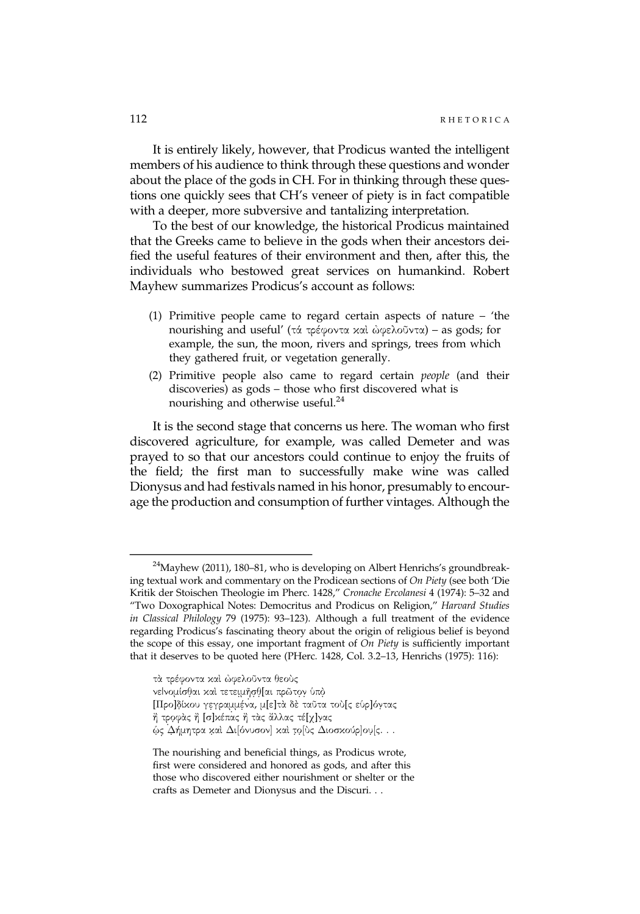It is entirely likely, however, that Prodicus wanted the intelligent members of his audience to think through these questions and wonder about the place of the gods in CH. For in thinking through these questions one quickly sees that CH's veneer of piety is in fact compatible with a deeper, more subversive and tantalizing interpretation.

To the best of our knowledge, the historical Prodicus maintained that the Greeks came to believe in the gods when their ancestors deified the useful features of their environment and then, after this, the individuals who bestowed great services on humankind. Robert Mayhew summarizes Prodicus's account as follows:

- (1) Primitive people came to regard certain aspects of nature 'the nourishing and useful' (τά τρέφοντα καὶ ὠφελοῦντα) – as gods; for example, the sun, the moon, rivers and springs, trees from which they gathered fruit, or vegetation generally.
- (2) Primitive people also came to regard certain people (and their discoveries) as gods – those who first discovered what is nourishing and otherwise useful.<sup>24</sup>

It is the second stage that concerns us here. The woman who first discovered agriculture, for example, was called Demeter and was prayed to so that our ancestors could continue to enjoy the fruits of the field; the first man to successfully make wine was called Dionysus and had festivals named in his honor, presumably to encourage the production and consumption of further vintages. Although the

τὰ τρέφοντα καὶ ὠφελοῦντα θεοὺς νεΙνομίσθαι και τετειμήσθ[αι πρῶτον υπό [Προ]δίκου γεγραμμένα, μ[ε]τὰ δὲ ταῦτα τοὺ[ς εὑρ]όντας ή τροφὰς ή [σ]κέπας ή τὰς ἄλλας τέ[χ]νας ώς Δήμητρα καὶ Δι[όνυσον] καὶ το̞[ὺς Διοσκούρ]ου̞[ς. . .

 $^{24}$ Mayhew (2011), 180–81, who is developing on Albert Henrichs's groundbreaking textual work and commentary on the Prodicean sections of On Piety (see both 'Die Kritik der Stoischen Theologie im Pherc. 1428," Cronache Ercolanesi 4 (1974): 5–32 and "Two Doxographical Notes: Democritus and Prodicus on Religion," Harvard Studies in Classical Philology 79 (1975): 93–123). Although a full treatment of the evidence regarding Prodicus's fascinating theory about the origin of religious belief is beyond the scope of this essay, one important fragment of On Piety is sufficiently important that it deserves to be quoted here (PHerc. 1428, Col. 3.2–13, Henrichs (1975): 116):

The nourishing and beneficial things, as Prodicus wrote, first were considered and honored as gods, and after this those who discovered either nourishment or shelter or the crafts as Demeter and Dionysus and the Discuri. . .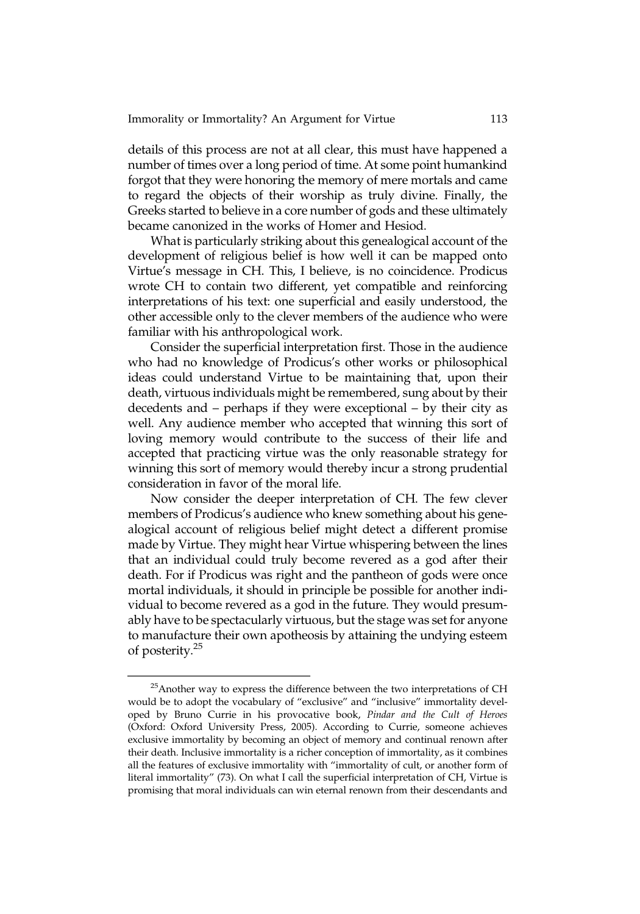details of this process are not at all clear, this must have happened a number of times over a long period of time. At some point humankind forgot that they were honoring the memory of mere mortals and came to regard the objects of their worship as truly divine. Finally, the Greeks started to believe in a core number of gods and these ultimately became canonized in the works of Homer and Hesiod.

What is particularly striking about this genealogical account of the development of religious belief is how well it can be mapped onto Virtue's message in CH. This, I believe, is no coincidence. Prodicus wrote CH to contain two different, yet compatible and reinforcing interpretations of his text: one superficial and easily understood, the other accessible only to the clever members of the audience who were familiar with his anthropological work.

Consider the superficial interpretation first. Those in the audience who had no knowledge of Prodicus's other works or philosophical ideas could understand Virtue to be maintaining that, upon their death, virtuous individuals might be remembered, sung about by their decedents and – perhaps if they were exceptional – by their city as well. Any audience member who accepted that winning this sort of loving memory would contribute to the success of their life and accepted that practicing virtue was the only reasonable strategy for winning this sort of memory would thereby incur a strong prudential consideration in favor of the moral life.

Now consider the deeper interpretation of CH. The few clever members of Prodicus's audience who knew something about his genealogical account of religious belief might detect a different promise made by Virtue. They might hear Virtue whispering between the lines that an individual could truly become revered as a god after their death. For if Prodicus was right and the pantheon of gods were once mortal individuals, it should in principle be possible for another individual to become revered as a god in the future. They would presumably have to be spectacularly virtuous, but the stage was set for anyone to manufacture their own apotheosis by attaining the undying esteem of posterity.25

 $25$ Another way to express the difference between the two interpretations of CH would be to adopt the vocabulary of "exclusive" and "inclusive" immortality developed by Bruno Currie in his provocative book, Pindar and the Cult of Heroes (Oxford: Oxford University Press, 2005). According to Currie, someone achieves exclusive immortality by becoming an object of memory and continual renown after their death. Inclusive immortality is a richer conception of immortality, as it combines all the features of exclusive immortality with "immortality of cult, or another form of literal immortality" (73). On what I call the superficial interpretation of CH, Virtue is promising that moral individuals can win eternal renown from their descendants and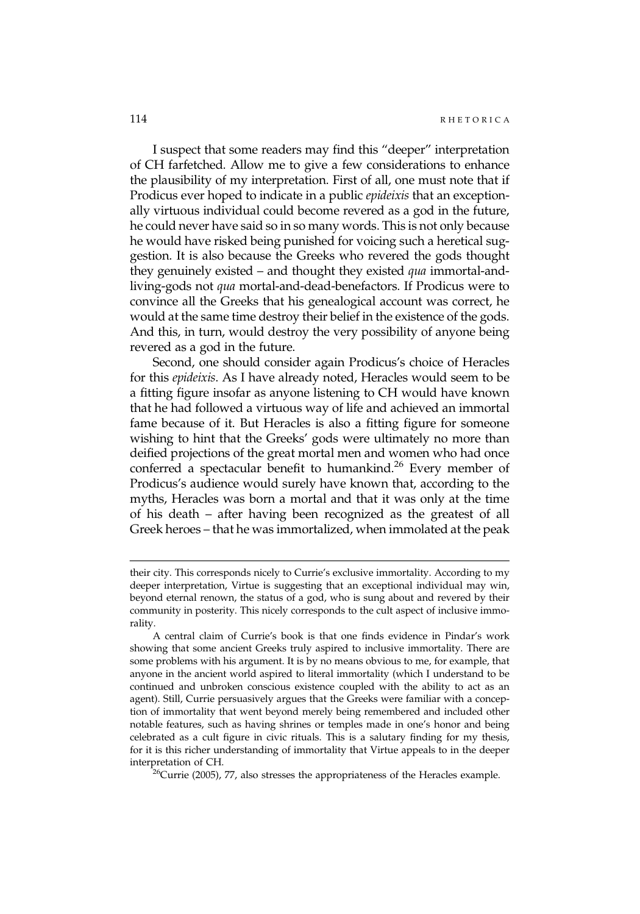I suspect that some readers may find this "deeper" interpretation of CH farfetched. Allow me to give a few considerations to enhance the plausibility of my interpretation. First of all, one must note that if Prodicus ever hoped to indicate in a public epideixis that an exceptionally virtuous individual could become revered as a god in the future, he could never have said so in so many words. This is not only because he would have risked being punished for voicing such a heretical suggestion. It is also because the Greeks who revered the gods thought they genuinely existed – and thought they existed qua immortal-andliving-gods not qua mortal-and-dead-benefactors. If Prodicus were to convince all the Greeks that his genealogical account was correct, he would at the same time destroy their belief in the existence of the gods. And this, in turn, would destroy the very possibility of anyone being revered as a god in the future.

Second, one should consider again Prodicus's choice of Heracles for this epideixis. As I have already noted, Heracles would seem to be a fitting figure insofar as anyone listening to CH would have known that he had followed a virtuous way of life and achieved an immortal fame because of it. But Heracles is also a fitting figure for someone wishing to hint that the Greeks' gods were ultimately no more than deified projections of the great mortal men and women who had once conferred a spectacular benefit to humankind.<sup>26</sup> Every member of Prodicus's audience would surely have known that, according to the myths, Heracles was born a mortal and that it was only at the time of his death – after having been recognized as the greatest of all Greek heroes – that he was immortalized, when immolated at the peak

their city. This corresponds nicely to Currie's exclusive immortality. According to my deeper interpretation, Virtue is suggesting that an exceptional individual may win, beyond eternal renown, the status of a god, who is sung about and revered by their community in posterity. This nicely corresponds to the cult aspect of inclusive immorality.

A central claim of Currie's book is that one finds evidence in Pindar's work showing that some ancient Greeks truly aspired to inclusive immortality. There are some problems with his argument. It is by no means obvious to me, for example, that anyone in the ancient world aspired to literal immortality (which I understand to be continued and unbroken conscious existence coupled with the ability to act as an agent). Still, Currie persuasively argues that the Greeks were familiar with a conception of immortality that went beyond merely being remembered and included other notable features, such as having shrines or temples made in one's honor and being celebrated as a cult figure in civic rituals. This is a salutary finding for my thesis, for it is this richer understanding of immortality that Virtue appeals to in the deeper interpretation of CH.<br><sup>26</sup>Currie (2005), 77, also stresses the appropriateness of the Heracles example.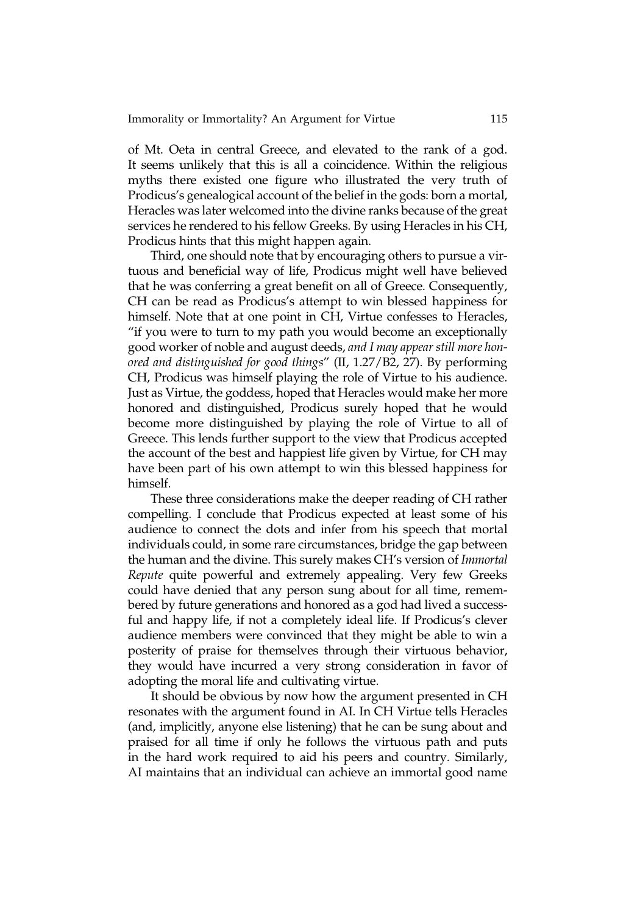of Mt. Oeta in central Greece, and elevated to the rank of a god. It seems unlikely that this is all a coincidence. Within the religious myths there existed one figure who illustrated the very truth of Prodicus's genealogical account of the belief in the gods: born a mortal, Heracles was later welcomed into the divine ranks because of the great services he rendered to his fellow Greeks. By using Heracles in his CH, Prodicus hints that this might happen again.

Third, one should note that by encouraging others to pursue a virtuous and beneficial way of life, Prodicus might well have believed that he was conferring a great benefit on all of Greece. Consequently, CH can be read as Prodicus's attempt to win blessed happiness for himself. Note that at one point in CH, Virtue confesses to Heracles, "if you were to turn to my path you would become an exceptionally good worker of noble and august deeds, and I may appear still more honored and distinguished for good things" (II, 1.27/B2, 27). By performing CH, Prodicus was himself playing the role of Virtue to his audience. Just as Virtue, the goddess, hoped that Heracles would make her more honored and distinguished, Prodicus surely hoped that he would become more distinguished by playing the role of Virtue to all of Greece. This lends further support to the view that Prodicus accepted the account of the best and happiest life given by Virtue, for CH may have been part of his own attempt to win this blessed happiness for himself.

These three considerations make the deeper reading of CH rather compelling. I conclude that Prodicus expected at least some of his audience to connect the dots and infer from his speech that mortal individuals could, in some rare circumstances, bridge the gap between the human and the divine. This surely makes CH's version of Immortal Repute quite powerful and extremely appealing. Very few Greeks could have denied that any person sung about for all time, remembered by future generations and honored as a god had lived a successful and happy life, if not a completely ideal life. If Prodicus's clever audience members were convinced that they might be able to win a posterity of praise for themselves through their virtuous behavior, they would have incurred a very strong consideration in favor of adopting the moral life and cultivating virtue.

It should be obvious by now how the argument presented in CH resonates with the argument found in AI. In CH Virtue tells Heracles (and, implicitly, anyone else listening) that he can be sung about and praised for all time if only he follows the virtuous path and puts in the hard work required to aid his peers and country. Similarly, AI maintains that an individual can achieve an immortal good name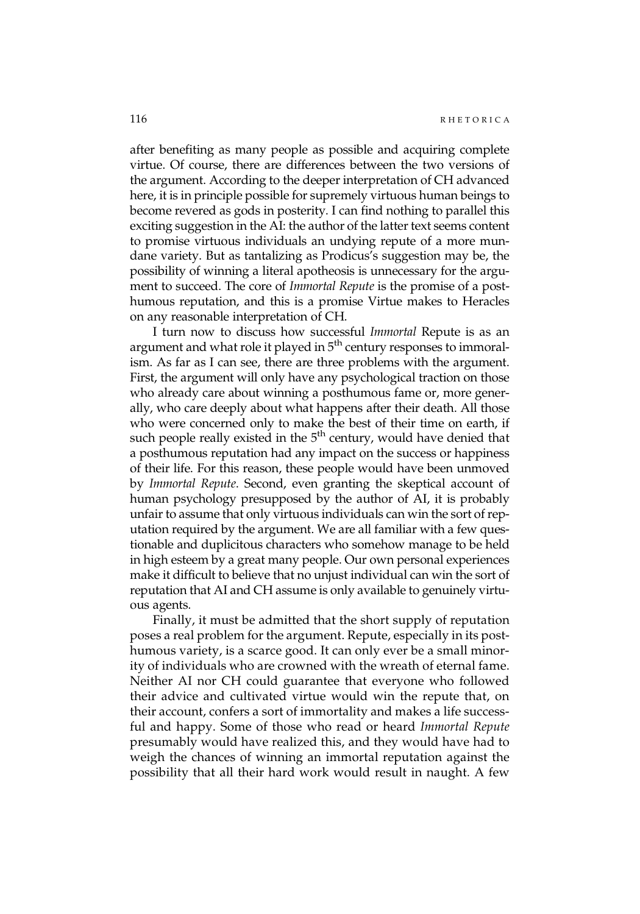after benefiting as many people as possible and acquiring complete virtue. Of course, there are differences between the two versions of the argument. According to the deeper interpretation of CH advanced here, it is in principle possible for supremely virtuous human beings to become revered as gods in posterity. I can find nothing to parallel this exciting suggestion in the AI: the author of the latter text seems content to promise virtuous individuals an undying repute of a more mundane variety. But as tantalizing as Prodicus's suggestion may be, the possibility of winning a literal apotheosis is unnecessary for the argument to succeed. The core of Immortal Repute is the promise of a posthumous reputation, and this is a promise Virtue makes to Heracles on any reasonable interpretation of CH.

I turn now to discuss how successful Immortal Repute is as an argument and what role it played in  $5<sup>th</sup>$  century responses to immoralism. As far as I can see, there are three problems with the argument. First, the argument will only have any psychological traction on those who already care about winning a posthumous fame or, more generally, who care deeply about what happens after their death. All those who were concerned only to make the best of their time on earth, if such people really existed in the  $5<sup>th</sup>$  century, would have denied that a posthumous reputation had any impact on the success or happiness of their life. For this reason, these people would have been unmoved by Immortal Repute. Second, even granting the skeptical account of human psychology presupposed by the author of AI, it is probably unfair to assume that only virtuous individuals can win the sort of reputation required by the argument. We are all familiar with a few questionable and duplicitous characters who somehow manage to be held in high esteem by a great many people. Our own personal experiences make it difficult to believe that no unjust individual can win the sort of reputation that AI and CH assume is only available to genuinely virtuous agents.

Finally, it must be admitted that the short supply of reputation poses a real problem for the argument. Repute, especially in its posthumous variety, is a scarce good. It can only ever be a small minority of individuals who are crowned with the wreath of eternal fame. Neither AI nor CH could guarantee that everyone who followed their advice and cultivated virtue would win the repute that, on their account, confers a sort of immortality and makes a life successful and happy. Some of those who read or heard Immortal Repute presumably would have realized this, and they would have had to weigh the chances of winning an immortal reputation against the possibility that all their hard work would result in naught. A few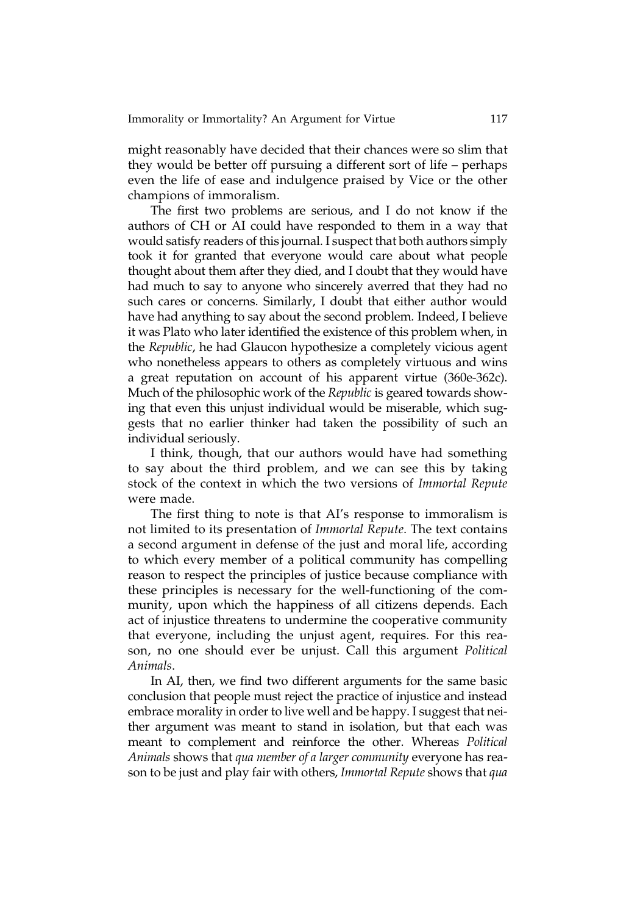might reasonably have decided that their chances were so slim that they would be better off pursuing a different sort of life – perhaps even the life of ease and indulgence praised by Vice or the other champions of immoralism.

The first two problems are serious, and I do not know if the authors of CH or AI could have responded to them in a way that would satisfy readers of this journal. I suspect that both authors simply took it for granted that everyone would care about what people thought about them after they died, and I doubt that they would have had much to say to anyone who sincerely averred that they had no such cares or concerns. Similarly, I doubt that either author would have had anything to say about the second problem. Indeed, I believe it was Plato who later identified the existence of this problem when, in the Republic, he had Glaucon hypothesize a completely vicious agent who nonetheless appears to others as completely virtuous and wins a great reputation on account of his apparent virtue (360e-362c). Much of the philosophic work of the Republic is geared towards showing that even this unjust individual would be miserable, which suggests that no earlier thinker had taken the possibility of such an individual seriously.

I think, though, that our authors would have had something to say about the third problem, and we can see this by taking stock of the context in which the two versions of Immortal Repute were made.

The first thing to note is that AI's response to immoralism is not limited to its presentation of Immortal Repute. The text contains a second argument in defense of the just and moral life, according to which every member of a political community has compelling reason to respect the principles of justice because compliance with these principles is necessary for the well-functioning of the community, upon which the happiness of all citizens depends. Each act of injustice threatens to undermine the cooperative community that everyone, including the unjust agent, requires. For this reason, no one should ever be unjust. Call this argument Political Animals.

In AI, then, we find two different arguments for the same basic conclusion that people must reject the practice of injustice and instead embrace morality in order to live well and be happy. I suggest that neither argument was meant to stand in isolation, but that each was meant to complement and reinforce the other. Whereas Political Animals shows that qua member of a larger community everyone has reason to be just and play fair with others, Immortal Repute shows that qua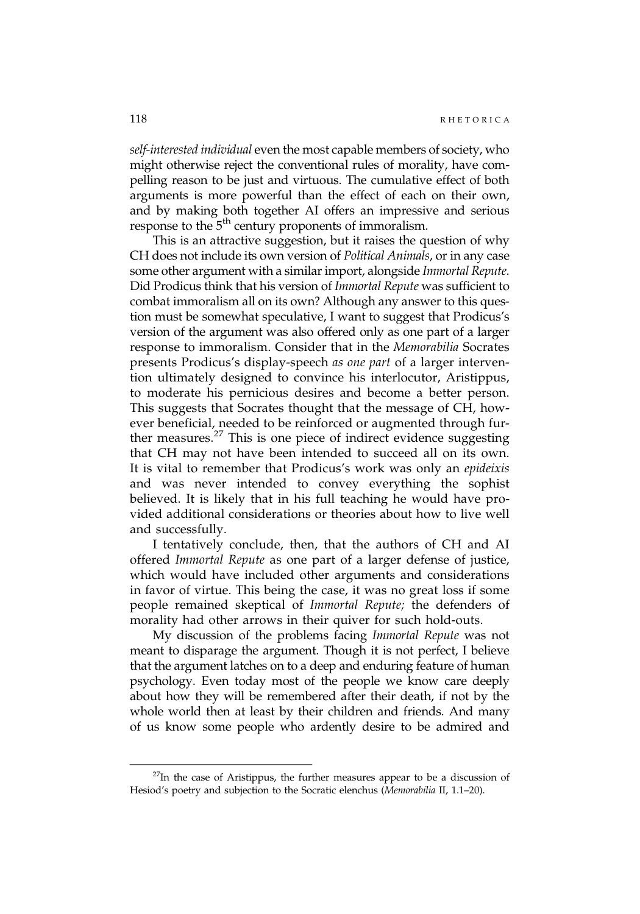self-interested individual even the most capable members of society, who might otherwise reject the conventional rules of morality, have compelling reason to be just and virtuous. The cumulative effect of both arguments is more powerful than the effect of each on their own, and by making both together AI offers an impressive and serious response to the 5<sup>th</sup> century proponents of immoralism.

This is an attractive suggestion, but it raises the question of why CH does not include its own version of Political Animals, or in any case some other argument with a similar import, alongside Immortal Repute. Did Prodicus think that his version of Immortal Repute was sufficient to combat immoralism all on its own? Although any answer to this question must be somewhat speculative, I want to suggest that Prodicus's version of the argument was also offered only as one part of a larger response to immoralism. Consider that in the Memorabilia Socrates presents Prodicus's display-speech as one part of a larger intervention ultimately designed to convince his interlocutor, Aristippus, to moderate his pernicious desires and become a better person. This suggests that Socrates thought that the message of CH, however beneficial, needed to be reinforced or augmented through further measures.<sup>27</sup> This is one piece of indirect evidence suggesting that CH may not have been intended to succeed all on its own. It is vital to remember that Prodicus's work was only an epideixis and was never intended to convey everything the sophist believed. It is likely that in his full teaching he would have provided additional considerations or theories about how to live well and successfully.

I tentatively conclude, then, that the authors of CH and AI offered Immortal Repute as one part of a larger defense of justice, which would have included other arguments and considerations in favor of virtue. This being the case, it was no great loss if some people remained skeptical of Immortal Repute; the defenders of morality had other arrows in their quiver for such hold-outs.

My discussion of the problems facing Immortal Repute was not meant to disparage the argument. Though it is not perfect, I believe that the argument latches on to a deep and enduring feature of human psychology. Even today most of the people we know care deeply about how they will be remembered after their death, if not by the whole world then at least by their children and friends. And many of us know some people who ardently desire to be admired and

 $^{27}$ In the case of Aristippus, the further measures appear to be a discussion of Hesiod's poetry and subjection to the Socratic elenchus (Memorabilia II, 1.1–20).